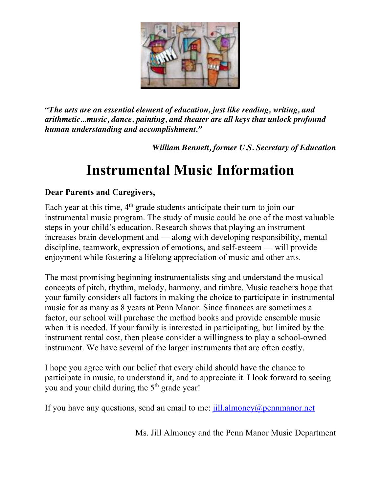

*"The arts are an essential element of education, just like reading, writing, and arithmetic...music, dance, painting, and theater are all keys that unlock profound human understanding and accomplishment."*

*William Bennett, former U.S. Secretary of Education*

## **Instrumental Music Information**

## **Dear Parents and Caregivers,**

Each year at this time,  $4<sup>th</sup>$  grade students anticipate their turn to join our instrumental music program. The study of music could be one of the most valuable steps in your child's education. Research shows that playing an instrument increases brain development and — along with developing responsibility, mental discipline, teamwork, expression of emotions, and self-esteem — will provide enjoyment while fostering a lifelong appreciation of music and other arts.

The most promising beginning instrumentalists sing and understand the musical concepts of pitch, rhythm, melody, harmony, and timbre. Music teachers hope that your family considers all factors in making the choice to participate in instrumental music for as many as 8 years at Penn Manor. Since finances are sometimes a factor, our school will purchase the method books and provide ensemble music when it is needed. If your family is interested in participating, but limited by the instrument rental cost, then please consider a willingness to play a school-owned instrument. We have several of the larger instruments that are often costly.

I hope you agree with our belief that every child should have the chance to participate in music, to understand it, and to appreciate it. I look forward to seeing you and your child during the 5<sup>th</sup> grade year!

If you have any questions, send an email to me:  $\frac{1}{1}$  almoney@pennmanor.net

Ms. Jill Almoney and the Penn Manor Music Department